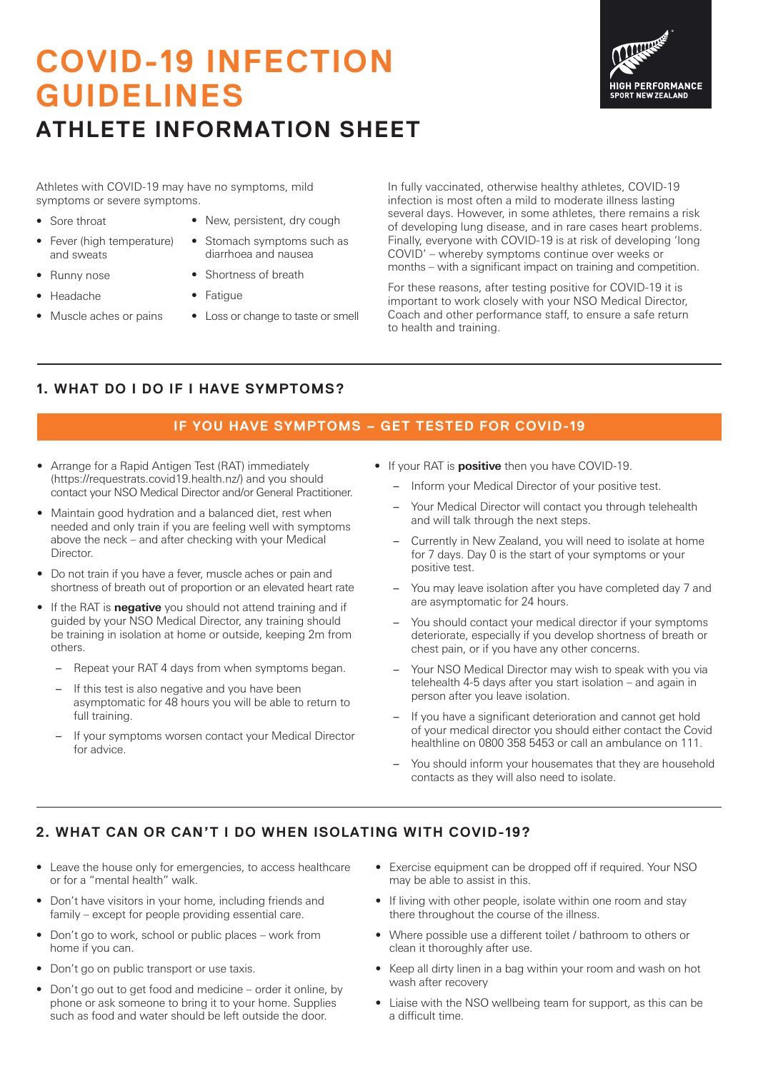# **COVID-19 INFECTION GUIDELINES ATHLETE INFORMATION SHEET**



Athletes with COVID-19 may have no symptoms, mild symptoms or severe symptoms.

- Sore throat
- Fever (high temperature) and sweats
- Runny nose
- Headache
- Muscle aches or pains
- New, persistent, dry cough
- Stomach symptoms such as diarrhoea and nausea
- Shortness of breath
- Fatigue
- Loss or change to taste or smell

In fully vaccinated, otherwise healthy athletes, COVID-19 infection is most often a mild to moderate illness lasting several days. However, in some athletes, there remains a risk of developing lung disease, and in rare cases heart problems. Finally, everyone with COVID-19 is at risk of developing 'long COVID' – whereby symptoms continue over weeks or months – with a significant impact on training and competition.

For these reasons, after testing positive for COVID-19 it is important to work closely with your NSO Medical Director, Coach and other performance staff, to ensure a safe return to health and training.

## **1. WHAT DO I DO IF I HAVE SYMPTOMS?**

#### **IF YOU HAVE SYMPTOMS – GET TESTED FOR COVID-19**

- Arrange for a Rapid Antigen Test (RAT) immediately (https://requestrats.covid19.health.nz/) and you should contact your NSO Medical Director and/or General Practitioner.
- Maintain good hydration and a balanced diet, rest when needed and only train if you are feeling well with symptoms above the neck – and after checking with your Medical Director.
- Do not train if you have a fever, muscle aches or pain and shortness of breath out of proportion or an elevated heart rate
- If the RAT is **negative** you should not attend training and if guided by your NSO Medical Director, any training should be training in isolation at home or outside, keeping 2m from others.
	- Repeat your RAT 4 days from when symptoms began.
	- If this test is also negative and you have been asymptomatic for 48 hours you will be able to return to full training.
	- If your symptoms worsen contact your Medical Director for advice.
- If your RAT is **positive** then you have COVID-19.
	- Inform your Medical Director of your positive test.
	- Your Medical Director will contact you through telehealth and will talk through the next steps.
	- Currently in New Zealand, you will need to isolate at home for 7 days. Day 0 is the start of your symptoms or your positive test.
	- You may leave isolation after you have completed day 7 and are asymptomatic for 24 hours.
	- You should contact your medical director if your symptoms deteriorate, especially if you develop shortness of breath or chest pain, or if you have any other concerns.
	- Your NSO Medical Director may wish to speak with you via telehealth 4-5 days after you start isolation – and again in person after you leave isolation.
	- If you have a significant deterioration and cannot get hold of your medical director you should either contact the Covid healthline on 0800 358 5453 or call an ambulance on 111.
	- You should inform your housemates that they are household contacts as they will also need to isolate.

## **2. WHAT CAN OR CAN'T I DO WHEN ISOLATING WITH COVID-19?**

- Leave the house only for emergencies, to access healthcare or for a "mental health" walk.
- Don't have visitors in your home, including friends and family – except for people providing essential care.
- Don't go to work, school or public places work from home if you can.
- Don't go on public transport or use taxis.
- Don't go out to get food and medicine order it online, by phone or ask someone to bring it to your home. Supplies such as food and water should be left outside the door.
- Exercise equipment can be dropped off if required. Your NSO may be able to assist in this.
- If living with other people, isolate within one room and stay there throughout the course of the illness.
- Where possible use a different toilet / bathroom to others or clean it thoroughly after use.
- Keep all dirty linen in a bag within your room and wash on hot wash after recovery
- Liaise with the NSO wellbeing team for support, as this can be a difficult time.